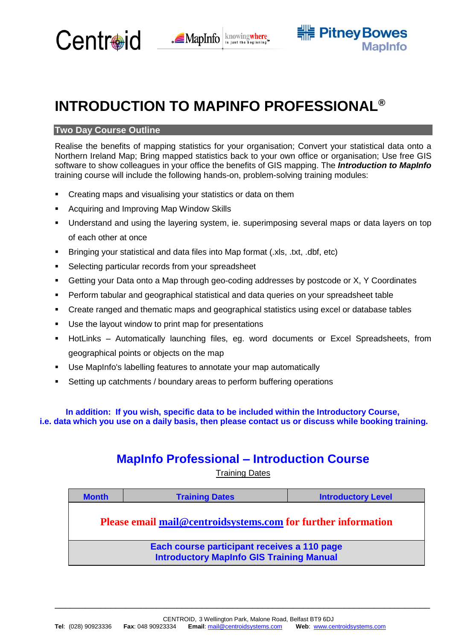



# **INTRODUCTION TO MAPINFO PROFESSIONAL®**

## **Two Day Course Outline**

Realise the benefits of mapping statistics for your organisation; Convert your statistical data onto a Northern Ireland Map; Bring mapped statistics back to your own office or organisation; Use free GIS software to show colleagues in your office the benefits of GIS mapping. The *Introduction to MapInfo*  training course will include the following hands-on, problem-solving training modules:

- Creating maps and visualising your statistics or data on them
- Acquiring and Improving Map Window Skills
- Understand and using the layering system, ie. superimposing several maps or data layers on top of each other at once
- Bringing your statistical and data files into Map format (.xls, .txt, .dbf, etc)
- Selecting particular records from your spreadsheet
- Getting your Data onto a Map through geo-coding addresses by postcode or X, Y Coordinates
- Perform tabular and geographical statistical and data queries on your spreadsheet table
- Create ranged and thematic maps and geographical statistics using excel or database tables
- Use the layout window to print map for presentations
- HotLinks Automatically launching files, eg. word documents or Excel Spreadsheets, from geographical points or objects on the map
- Use MapInfo's labelling features to annotate your map automatically
- Setting up catchments / boundary areas to perform buffering operations

**In addition: If you wish, specific data to be included within the Introductory Course, i.e. data which you use on a daily basis, then please contact us or discuss while booking training.**

# **MapInfo Professional – Introduction Course**

Training Dates

| <b>Month</b>                                                                                   | <b>Training Dates</b> | <b>Introductory Level</b> |
|------------------------------------------------------------------------------------------------|-----------------------|---------------------------|
| <b>Please email mail@centroidsystems.com for further information</b>                           |                       |                           |
| Each course participant receives a 110 page<br><b>Introductory MapInfo GIS Training Manual</b> |                       |                           |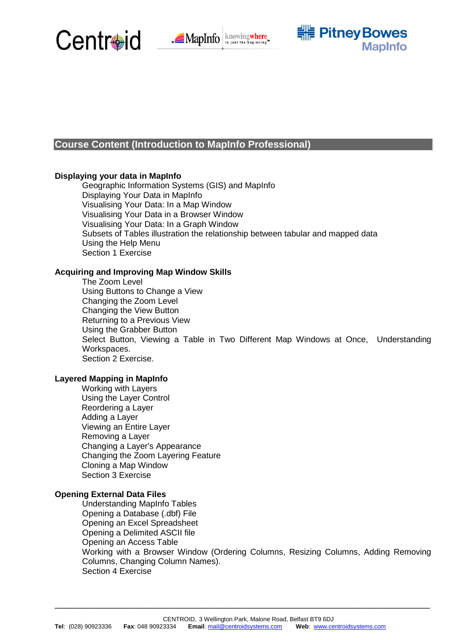





# **Course Content (Introduction to MapInfo Professional)**

#### **Displaying your data in MapInfo**

Geographic Information Systems (GIS) and MapInfo Displaying Your Data in MapInfo Visualising Your Data: In a Map Window Visualising Your Data in a Browser Window Visualising Your Data: In a Graph Window Subsets of Tables illustration the relationship between tabular and mapped data Using the Help Menu Section 1 Exercise

#### **Acquiring and Improving Map Window Skills**

The Zoom Level Using Buttons to Change a View Changing the Zoom Level Changing the View Button Returning to a Previous View Using the Grabber Button Select Button, Viewing a Table in Two Different Map Windows at Once, Understanding Workspaces. Section 2 Exercise.

#### **Layered Mapping in MapInfo**

Working with Layers Using the Layer Control Reordering a Layer Adding a Layer Viewing an Entire Layer Removing a Layer Changing a Layer's Appearance Changing the Zoom Layering Feature Cloning a Map Window Section 3 Exercise

#### **Opening External Data Files**

Understanding MapInfo Tables Opening a Database (.dbf) File Opening an Excel Spreadsheet Opening a Delimited ASCII file Opening an Access Table Working with a Browser Window (Ordering Columns, Resizing Columns, Adding Removing Columns, Changing Column Names). Section 4 Exercise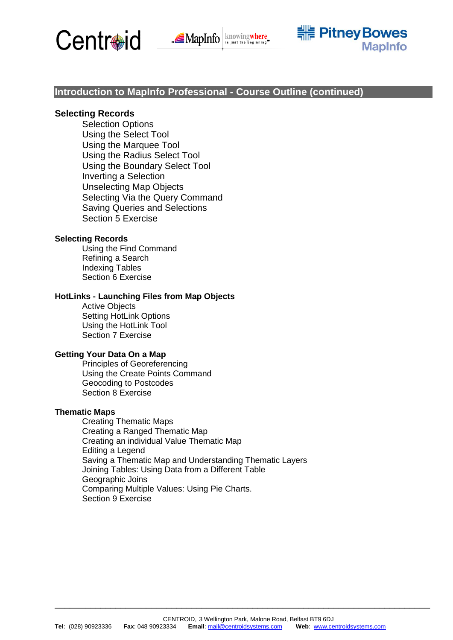





# **Introduction to MapInfo Professional - Course Outline (continued)**

#### **Selecting Records**

Selection Options Using the Select Tool Using the Marquee Tool Using the Radius Select Tool Using the Boundary Select Tool Inverting a Selection Unselecting Map Objects Selecting Via the Query Command Saving Queries and Selections Section 5 Exercise

#### **Selecting Records**

Using the Find Command Refining a Search Indexing Tables Section 6 Exercise

#### **HotLinks - Launching Files from Map Objects**

Active Objects Setting HotLink Options Using the HotLink Tool Section 7 Exercise

#### **Getting Your Data On a Map**

Principles of Georeferencing Using the Create Points Command Geocoding to Postcodes Section 8 Exercise

#### **Thematic Maps**

Creating Thematic Maps Creating a Ranged Thematic Map Creating an individual Value Thematic Map Editing a Legend Saving a Thematic Map and Understanding Thematic Layers Joining Tables: Using Data from a Different Table Geographic Joins Comparing Multiple Values: Using Pie Charts. Section 9 Exercise